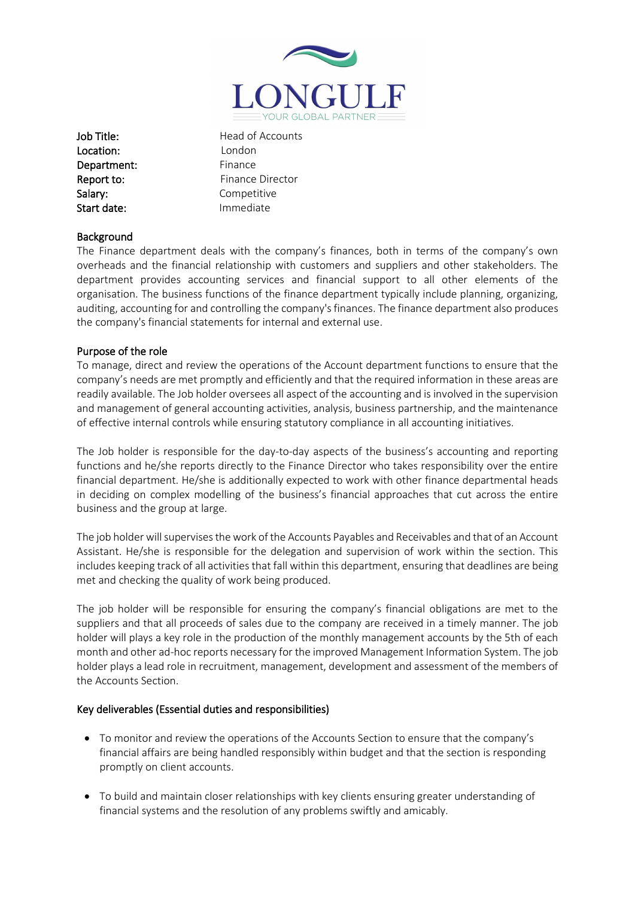

Location: London Department: Finance Salary: Competitive Start date: Immediate

Job Title: Head of Accounts Report to: Finance Director

## **Background**

The Finance department deals with the company's finances, both in terms of the company's own overheads and the financial relationship with customers and suppliers and other stakeholders. The department provides accounting services and financial support to all other elements of the organisation. The business functions of the finance department typically include planning, organizing, auditing, accounting for and controlling the company's finances. The finance department also produces the company's financial statements for internal and external use.

## Purpose of the role

To manage, direct and review the operations of the Account department functions to ensure that the company's needs are met promptly and efficiently and that the required information in these areas are readily available. The Job holder oversees all aspect of the accounting and is involved in the supervision and management of general accounting activities, analysis, business partnership, and the maintenance of effective internal controls while ensuring statutory compliance in all accounting initiatives.

The Job holder is responsible for the day-to-day aspects of the business's accounting and reporting functions and he/she reports directly to the Finance Director who takes responsibility over the entire financial department. He/she is additionally expected to work with other finance departmental heads in deciding on complex modelling of the business's financial approaches that cut across the entire business and the group at large.

The job holder will supervises the work of the Accounts Payables and Receivables and that of an Account Assistant. He/she is responsible for the delegation and supervision of work within the section. This includes keeping track of all activities that fall within this department, ensuring that deadlines are being met and checking the quality of work being produced.

The job holder will be responsible for ensuring the company's financial obligations are met to the suppliers and that all proceeds of sales due to the company are received in a timely manner. The job holder will plays a key role in the production of the monthly management accounts by the 5th of each month and other ad-hoc reports necessary for the improved Management Information System. The job holder plays a lead role in recruitment, management, development and assessment of the members of the Accounts Section.

## Key deliverables (Essential duties and responsibilities)

- To monitor and review the operations of the Accounts Section to ensure that the company's financial affairs are being handled responsibly within budget and that the section is responding promptly on client accounts.
- To build and maintain closer relationships with key clients ensuring greater understanding of financial systems and the resolution of any problems swiftly and amicably.